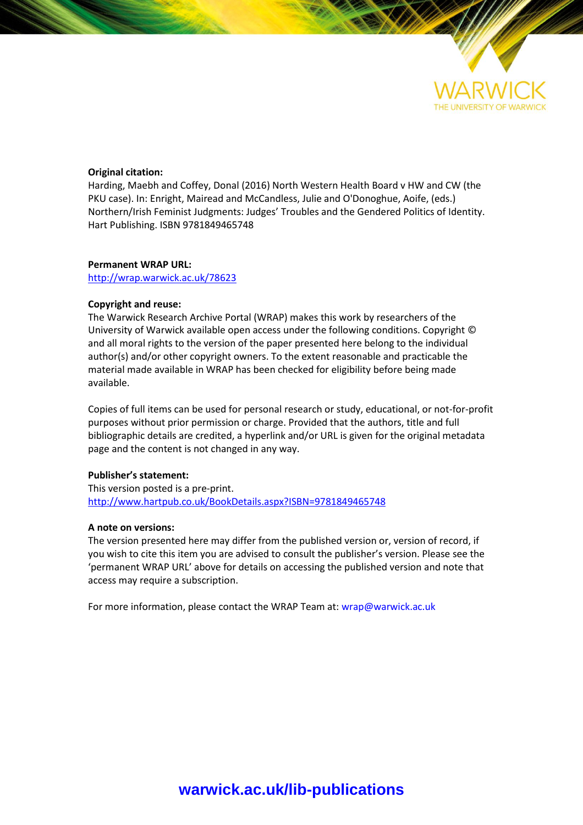

### **Original citation:**

Harding, Maebh and Coffey, Donal (2016) North Western Health Board v HW and CW (the PKU case). In: Enright, Mairead and McCandless, Julie and O'Donoghue, Aoife, (eds.) Northern/Irish Feminist Judgments: Judges' Troubles and the Gendered Politics of Identity. Hart Publishing. ISBN 9781849465748

### **Permanent WRAP URL:**

<http://wrap.warwick.ac.uk/78623>

### **Copyright and reuse:**

The Warwick Research Archive Portal (WRAP) makes this work by researchers of the University of Warwick available open access under the following conditions. Copyright © and all moral rights to the version of the paper presented here belong to the individual author(s) and/or other copyright owners. To the extent reasonable and practicable the material made available in WRAP has been checked for eligibility before being made available.

Copies of full items can be used for personal research or study, educational, or not-for-profit purposes without prior permission or charge. Provided that the authors, title and full bibliographic details are credited, a hyperlink and/or URL is given for the original metadata page and the content is not changed in any way.

### **Publisher's statement:**

This version posted is a pre-print. <http://www.hartpub.co.uk/BookDetails.aspx?ISBN=9781849465748>

### **A note on versions:**

The version presented here may differ from the published version or, version of record, if you wish to cite this item you are advised to consult the publisher's version. Please see the 'permanent WRAP URL' above for details on accessing the published version and note that access may require a subscription.

For more information, please contact the WRAP Team at[: wrap@warwick.ac.uk](mailto:wrap@warwick.ac.uk)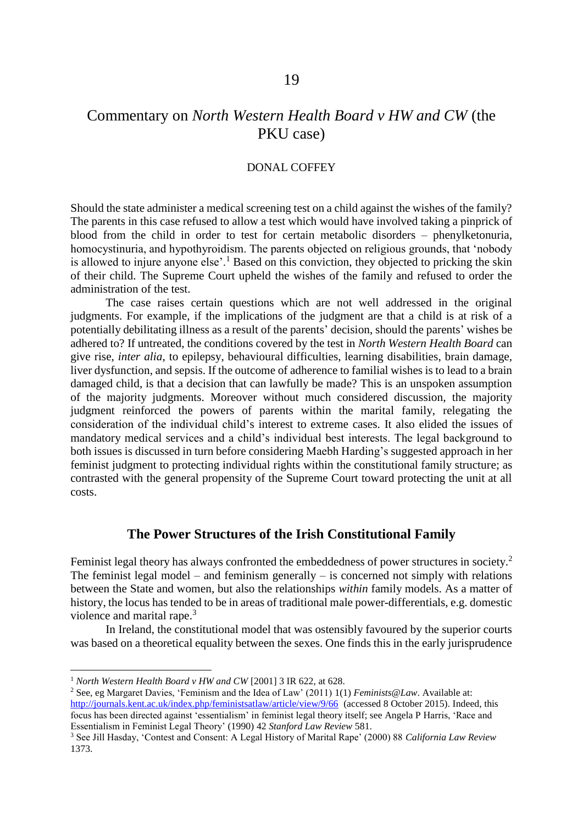# Commentary on *North Western Health Board v HW and CW* (the PKU case)

## DONAL COFFEY

Should the state administer a medical screening test on a child against the wishes of the family? The parents in this case refused to allow a test which would have involved taking a pinprick of blood from the child in order to test for certain metabolic disorders – phenylketonuria, homocystinuria, and hypothyroidism. The parents objected on religious grounds, that 'nobody is allowed to injure anyone else'.<sup>1</sup> Based on this conviction, they objected to pricking the skin of their child. The Supreme Court upheld the wishes of the family and refused to order the administration of the test.

The case raises certain questions which are not well addressed in the original judgments. For example, if the implications of the judgment are that a child is at risk of a potentially debilitating illness as a result of the parents' decision, should the parents' wishes be adhered to? If untreated, the conditions covered by the test in *North Western Health Board* can give rise, *inter alia*, to epilepsy, behavioural difficulties, learning disabilities, brain damage, liver dysfunction, and sepsis. If the outcome of adherence to familial wishes is to lead to a brain damaged child, is that a decision that can lawfully be made? This is an unspoken assumption of the majority judgments. Moreover without much considered discussion, the majority judgment reinforced the powers of parents within the marital family, relegating the consideration of the individual child's interest to extreme cases. It also elided the issues of mandatory medical services and a child's individual best interests. The legal background to both issues is discussed in turn before considering Maebh Harding's suggested approach in her feminist judgment to protecting individual rights within the constitutional family structure; as contrasted with the general propensity of the Supreme Court toward protecting the unit at all costs.

# **The Power Structures of the Irish Constitutional Family**

Feminist legal theory has always confronted the embeddedness of power structures in society.<sup>2</sup> The feminist legal model – and feminism generally – is concerned not simply with relations between the State and women, but also the relationships *within* family models. As a matter of history, the locus has tended to be in areas of traditional male power-differentials, e.g. domestic violence and marital rape.<sup>3</sup>

In Ireland, the constitutional model that was ostensibly favoured by the superior courts was based on a theoretical equality between the sexes. One finds this in the early jurisprudence

**.** 

<sup>2</sup> See, eg Margaret Davies, 'Feminism and the Idea of Law' (2011) 1(1) *Feminists@Law*. Available at: <http://journals.kent.ac.uk/index.php/feministsatlaw/article/view/9/66>(accessed 8 October 2015). Indeed, this focus has been directed against 'essentialism' in feminist legal theory itself; see Angela P Harris, 'Race and Essentialism in Feminist Legal Theory' (1990) 42 *Stanford Law Review* 581.

<sup>&</sup>lt;sup>1</sup> *North Western Health Board v HW and CW* [2001] 3 IR 622, at 628.

<sup>3</sup> See Jill Hasday, 'Contest and Consent: A Legal History of Marital Rape' (2000) 88 *California Law Review*  1373.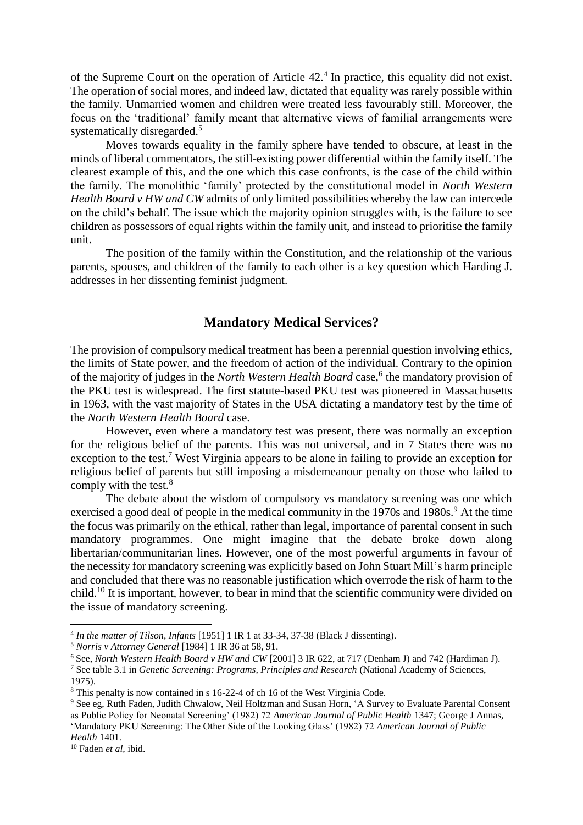of the Supreme Court on the operation of Article 42.<sup>4</sup> In practice, this equality did not exist. The operation of social mores, and indeed law, dictated that equality was rarely possible within the family. Unmarried women and children were treated less favourably still. Moreover, the focus on the 'traditional' family meant that alternative views of familial arrangements were systematically disregarded.<sup>5</sup>

Moves towards equality in the family sphere have tended to obscure, at least in the minds of liberal commentators, the still-existing power differential within the family itself. The clearest example of this, and the one which this case confronts, is the case of the child within the family. The monolithic 'family' protected by the constitutional model in *North Western Health Board v HW and CW* admits of only limited possibilities whereby the law can intercede on the child's behalf. The issue which the majority opinion struggles with, is the failure to see children as possessors of equal rights within the family unit, and instead to prioritise the family unit.

The position of the family within the Constitution, and the relationship of the various parents, spouses, and children of the family to each other is a key question which Harding J. addresses in her dissenting feminist judgment.

# **Mandatory Medical Services?**

The provision of compulsory medical treatment has been a perennial question involving ethics, the limits of State power, and the freedom of action of the individual. Contrary to the opinion of the majority of judges in the *North Western Health Board* case,<sup>6</sup> the mandatory provision of the PKU test is widespread. The first statute-based PKU test was pioneered in Massachusetts in 1963, with the vast majority of States in the USA dictating a mandatory test by the time of the *North Western Health Board* case.

However, even where a mandatory test was present, there was normally an exception for the religious belief of the parents. This was not universal, and in 7 States there was no exception to the test.<sup>7</sup> West Virginia appears to be alone in failing to provide an exception for religious belief of parents but still imposing a misdemeanour penalty on those who failed to comply with the test.<sup>8</sup>

The debate about the wisdom of compulsory vs mandatory screening was one which exercised a good deal of people in the medical community in the 1970s and 1980s.<sup>9</sup> At the time the focus was primarily on the ethical, rather than legal, importance of parental consent in such mandatory programmes. One might imagine that the debate broke down along libertarian/communitarian lines. However, one of the most powerful arguments in favour of the necessity for mandatory screening was explicitly based on John Stuart Mill's harm principle and concluded that there was no reasonable justification which overrode the risk of harm to the child.<sup>10</sup> It is important, however, to bear in mind that the scientific community were divided on the issue of mandatory screening.

<sup>4</sup> *In the matter of Tilson, Infants* [1951] 1 IR 1 at 33-34, 37-38 (Black J dissenting).

<sup>5</sup> *Norris v Attorney General* [1984] 1 IR 36 at 58, 91.

<sup>6</sup> See, *North Western Health Board v HW and CW* [2001] 3 IR 622, at 717 (Denham J) and 742 (Hardiman J).

<sup>7</sup> See table 3.1 in *Genetic Screening: Programs, Principles and Research* (National Academy of Sciences, 1975).

<sup>8</sup> This penalty is now contained in s 16-22-4 of ch 16 of the West Virginia Code.

<sup>9</sup> See eg, Ruth Faden, Judith Chwalow, Neil Holtzman and Susan Horn, 'A Survey to Evaluate Parental Consent as Public Policy for Neonatal Screening' (1982) 72 *American Journal of Public Health* 1347; George J Annas, 'Mandatory PKU Screening: The Other Side of the Looking Glass' (1982) 72 *American Journal of Public Health* 1401.

<sup>10</sup> Faden *et al,* ibid.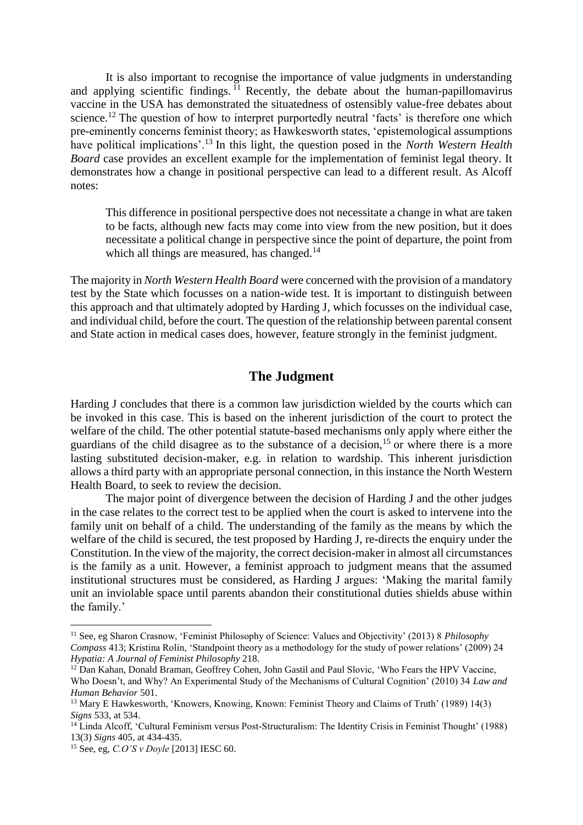It is also important to recognise the importance of value judgments in understanding and applying scientific findings.  $\overline{11}$  Recently, the debate about the human-papillomavirus vaccine in the USA has demonstrated the situatedness of ostensibly value-free debates about science.<sup>12</sup> The question of how to interpret purportedly neutral 'facts' is therefore one which pre-eminently concerns feminist theory; as Hawkesworth states, 'epistemological assumptions have political implications'.<sup>13</sup> In this light, the question posed in the *North Western Health Board* case provides an excellent example for the implementation of feminist legal theory. It demonstrates how a change in positional perspective can lead to a different result. As Alcoff notes:

This difference in positional perspective does not necessitate a change in what are taken to be facts, although new facts may come into view from the new position, but it does necessitate a political change in perspective since the point of departure, the point from which all things are measured, has changed.<sup>14</sup>

The majority in *North Western Health Board* were concerned with the provision of a mandatory test by the State which focusses on a nation-wide test. It is important to distinguish between this approach and that ultimately adopted by Harding J, which focusses on the individual case, and individual child, before the court. The question of the relationship between parental consent and State action in medical cases does, however, feature strongly in the feminist judgment.

# **The Judgment**

Harding J concludes that there is a common law jurisdiction wielded by the courts which can be invoked in this case. This is based on the inherent jurisdiction of the court to protect the welfare of the child. The other potential statute-based mechanisms only apply where either the guardians of the child disagree as to the substance of a decision,<sup>15</sup> or where there is a more lasting substituted decision-maker, e.g. in relation to wardship. This inherent jurisdiction allows a third party with an appropriate personal connection, in this instance the North Western Health Board, to seek to review the decision.

The major point of divergence between the decision of Harding J and the other judges in the case relates to the correct test to be applied when the court is asked to intervene into the family unit on behalf of a child. The understanding of the family as the means by which the welfare of the child is secured, the test proposed by Harding J, re-directs the enquiry under the Constitution. In the view of the majority, the correct decision-maker in almost all circumstances is the family as a unit. However, a feminist approach to judgment means that the assumed institutional structures must be considered, as Harding J argues: 'Making the marital family unit an inviolable space until parents abandon their constitutional duties shields abuse within the family.'

<sup>11</sup> See, eg Sharon Crasnow, 'Feminist Philosophy of Science: Values and Objectivity' (2013) 8 *Philosophy Compass* 413; Kristina Rolin, 'Standpoint theory as a methodology for the study of power relations' (2009) 24 *Hypatia: A Journal of Feminist Philosophy* 218.

<sup>&</sup>lt;sup>12</sup> Dan Kahan, Donald Braman, Geoffrey Cohen, John Gastil and Paul Slovic, 'Who Fears the HPV Vaccine, Who Doesn't, and Why? An Experimental Study of the Mechanisms of Cultural Cognition' (2010) 34 *Law and Human Behavior* 501.

<sup>13</sup> Mary E Hawkesworth, 'Knowers, Knowing, Known: Feminist Theory and Claims of Truth' (1989) 14(3) *Signs* 533, at 534.

<sup>&</sup>lt;sup>14</sup> Linda Alcoff, 'Cultural Feminism versus Post-Structuralism: The Identity Crisis in Feminist Thought' (1988) 13(3) *Signs* 405, at 434-435.

<sup>15</sup> See, eg, *C.O'S v Doyle* [2013] IESC 60.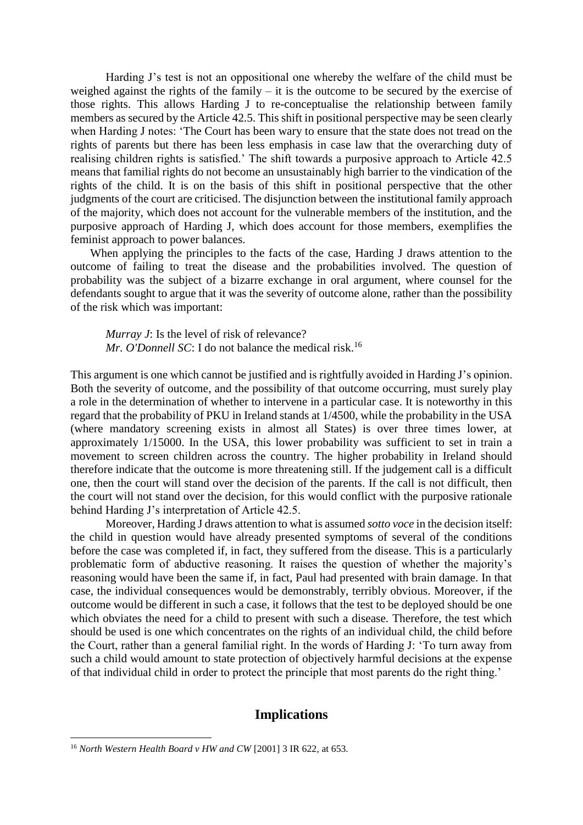Harding J's test is not an oppositional one whereby the welfare of the child must be weighed against the rights of the family – it is the outcome to be secured by the exercise of those rights. This allows Harding J to re-conceptualise the relationship between family members as secured by the Article 42.5. This shift in positional perspective may be seen clearly when Harding J notes: 'The Court has been wary to ensure that the state does not tread on the rights of parents but there has been less emphasis in case law that the overarching duty of realising children rights is satisfied.' The shift towards a purposive approach to Article 42.5 means that familial rights do not become an unsustainably high barrier to the vindication of the rights of the child. It is on the basis of this shift in positional perspective that the other judgments of the court are criticised. The disjunction between the institutional family approach of the majority, which does not account for the vulnerable members of the institution, and the purposive approach of Harding J, which does account for those members, exemplifies the feminist approach to power balances.

When applying the principles to the facts of the case, Harding J draws attention to the outcome of failing to treat the disease and the probabilities involved. The question of probability was the subject of a bizarre exchange in oral argument, where counsel for the defendants sought to argue that it was the severity of outcome alone, rather than the possibility of the risk which was important:

*Murray J*: Is the level of risk of relevance? *Mr. O'Donnell SC*: I do not balance the medical risk.<sup>16</sup>

This argument is one which cannot be justified and is rightfully avoided in Harding J's opinion. Both the severity of outcome, and the possibility of that outcome occurring, must surely play a role in the determination of whether to intervene in a particular case. It is noteworthy in this regard that the probability of PKU in Ireland stands at 1/4500, while the probability in the USA (where mandatory screening exists in almost all States) is over three times lower, at approximately 1/15000. In the USA, this lower probability was sufficient to set in train a movement to screen children across the country. The higher probability in Ireland should therefore indicate that the outcome is more threatening still. If the judgement call is a difficult one, then the court will stand over the decision of the parents. If the call is not difficult, then the court will not stand over the decision, for this would conflict with the purposive rationale behind Harding J's interpretation of Article 42.5.

Moreover, Harding J draws attention to what is assumed *sotto voce* in the decision itself: the child in question would have already presented symptoms of several of the conditions before the case was completed if, in fact, they suffered from the disease. This is a particularly problematic form of abductive reasoning. It raises the question of whether the majority's reasoning would have been the same if, in fact, Paul had presented with brain damage. In that case, the individual consequences would be demonstrably, terribly obvious. Moreover, if the outcome would be different in such a case, it follows that the test to be deployed should be one which obviates the need for a child to present with such a disease. Therefore, the test which should be used is one which concentrates on the rights of an individual child, the child before the Court, rather than a general familial right. In the words of Harding J: 'To turn away from such a child would amount to state protection of objectively harmful decisions at the expense of that individual child in order to protect the principle that most parents do the right thing.'

# **Implications**

<sup>16</sup> *North Western Health Board v HW and CW* [2001] 3 IR 622*,* at 653.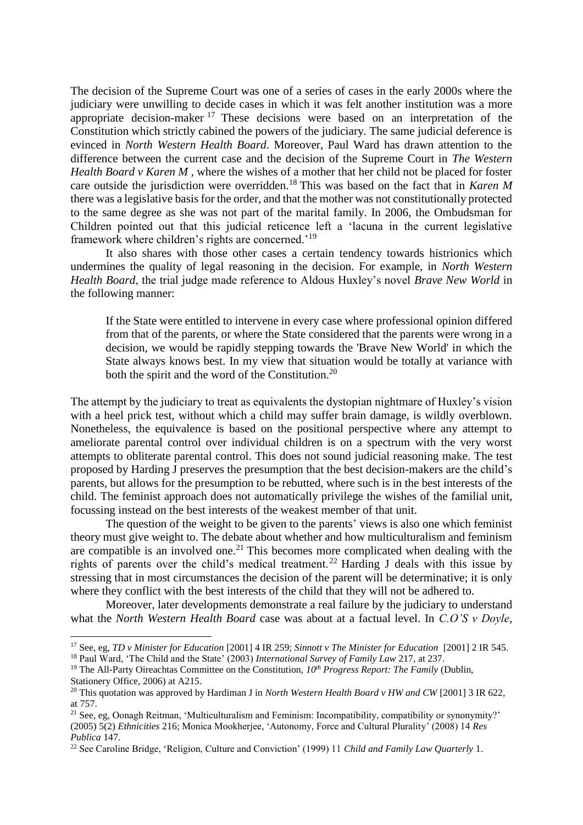The decision of the Supreme Court was one of a series of cases in the early 2000s where the judiciary were unwilling to decide cases in which it was felt another institution was a more appropriate decision-maker  $17$  These decisions were based on an interpretation of the Constitution which strictly cabined the powers of the judiciary. The same judicial deference is evinced in *North Western Health Board*. Moreover, Paul Ward has drawn attention to the difference between the current case and the decision of the Supreme Court in *The Western Health Board v Karen M ,* where the wishes of a mother that her child not be placed for foster care outside the jurisdiction were overridden.<sup>18</sup> This was based on the fact that in *Karen M* there was a legislative basis for the order, and that the mother was not constitutionally protected to the same degree as she was not part of the marital family. In 2006, the Ombudsman for Children pointed out that this judicial reticence left a 'lacuna in the current legislative framework where children's rights are concerned.'<sup>19</sup>

It also shares with those other cases a certain tendency towards histrionics which undermines the quality of legal reasoning in the decision. For example, in *North Western Health Board*, the trial judge made reference to Aldous Huxley's novel *Brave New World* in the following manner:

If the State were entitled to intervene in every case where professional opinion differed from that of the parents, or where the State considered that the parents were wrong in a decision, we would be rapidly stepping towards the 'Brave New World' in which the State always knows best. In my view that situation would be totally at variance with both the spirit and the word of the Constitution.<sup>20</sup>

The attempt by the judiciary to treat as equivalents the dystopian nightmare of Huxley's vision with a heel prick test, without which a child may suffer brain damage, is wildly overblown. Nonetheless, the equivalence is based on the positional perspective where any attempt to ameliorate parental control over individual children is on a spectrum with the very worst attempts to obliterate parental control. This does not sound judicial reasoning make. The test proposed by Harding J preserves the presumption that the best decision-makers are the child's parents, but allows for the presumption to be rebutted, where such is in the best interests of the child. The feminist approach does not automatically privilege the wishes of the familial unit, focussing instead on the best interests of the weakest member of that unit.

The question of the weight to be given to the parents' views is also one which feminist theory must give weight to. The debate about whether and how multiculturalism and feminism are compatible is an involved one.<sup>21</sup> This becomes more complicated when dealing with the rights of parents over the child's medical treatment. <sup>22</sup> Harding J deals with this issue by stressing that in most circumstances the decision of the parent will be determinative; it is only where they conflict with the best interests of the child that they will not be adhered to.

Moreover, later developments demonstrate a real failure by the judiciary to understand what the *North Western Health Board* case was about at a factual level. In *C.O'S v Doyle,*

<sup>17</sup> See, eg, *TD v Minister for Education* [2001] 4 IR 259; *Sinnott v The Minister for Education* [2001] 2 IR 545.

<sup>18</sup> Paul Ward, 'The Child and the State' (2003) *International Survey of Family Law* 217, at 237.

<sup>&</sup>lt;sup>19</sup> The All-Party Oireachtas Committee on the Constitution,  $10^{th}$  *Progress Report: The Family (Dublin,* Stationery Office, 2006) at A215.

<sup>&</sup>lt;sup>20</sup> This quotation was approved by Hardiman J in *North Western Health Board v HW and CW* [2001] 3 IR 622, at 757.

<sup>&</sup>lt;sup>21</sup> See, eg, Oonagh Reitman, 'Multiculturalism and Feminism: Incompatibility, compatibility or synonymity?' (2005) 5(2) *Ethnicities* 216; Monica Mookherjee, 'Autonomy, Force and Cultural Plurality' (2008) 14 *Res Publica* 147.

<sup>22</sup> See Caroline Bridge, 'Religion, Culture and Conviction' (1999) 11 *Child and Family Law Quarterly* 1.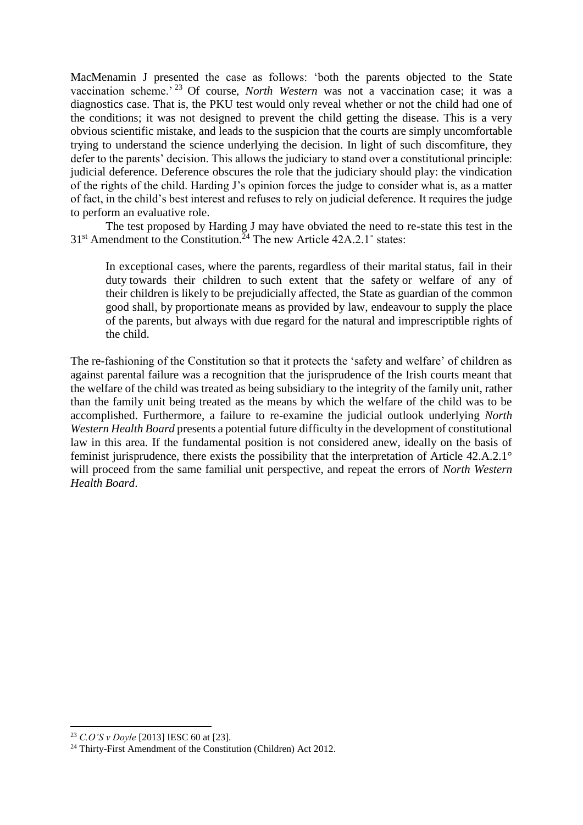MacMenamin J presented the case as follows: 'both the parents objected to the State vaccination scheme.' <sup>23</sup> Of course, *North Western* was not a vaccination case; it was a diagnostics case. That is, the PKU test would only reveal whether or not the child had one of the conditions; it was not designed to prevent the child getting the disease. This is a very obvious scientific mistake, and leads to the suspicion that the courts are simply uncomfortable trying to understand the science underlying the decision. In light of such discomfiture, they defer to the parents' decision. This allows the judiciary to stand over a constitutional principle: judicial deference. Deference obscures the role that the judiciary should play: the vindication of the rights of the child. Harding J's opinion forces the judge to consider what is, as a matter of fact, in the child's best interest and refuses to rely on judicial deference. It requires the judge to perform an evaluative role.

The test proposed by Harding J may have obviated the need to re-state this test in the  $31<sup>st</sup>$  Amendment to the Constitution.<sup>24</sup> The new Article 42A.2.1 $^{\circ}$  states:

In exceptional cases, where the parents, regardless of their marital status, fail in their duty towards their children to such extent that the safety or welfare of any of their children is likely to be prejudicially affected, the State as guardian of the common good shall, by proportionate means as provided by law, endeavour to supply the place of the parents, but always with due regard for the natural and imprescriptible rights of the child.

The re-fashioning of the Constitution so that it protects the 'safety and welfare' of children as against parental failure was a recognition that the jurisprudence of the Irish courts meant that the welfare of the child was treated as being subsidiary to the integrity of the family unit, rather than the family unit being treated as the means by which the welfare of the child was to be accomplished. Furthermore, a failure to re-examine the judicial outlook underlying *North Western Health Board* presents a potential future difficulty in the development of constitutional law in this area. If the fundamental position is not considered anew, ideally on the basis of feminist jurisprudence, there exists the possibility that the interpretation of Article 42.A.2.1° will proceed from the same familial unit perspective, and repeat the errors of *North Western Health Board*.

<sup>23</sup> *C.O'S v Doyle* [2013] IESC 60 at [23].

<sup>24</sup> Thirty-First Amendment of the Constitution (Children) Act 2012.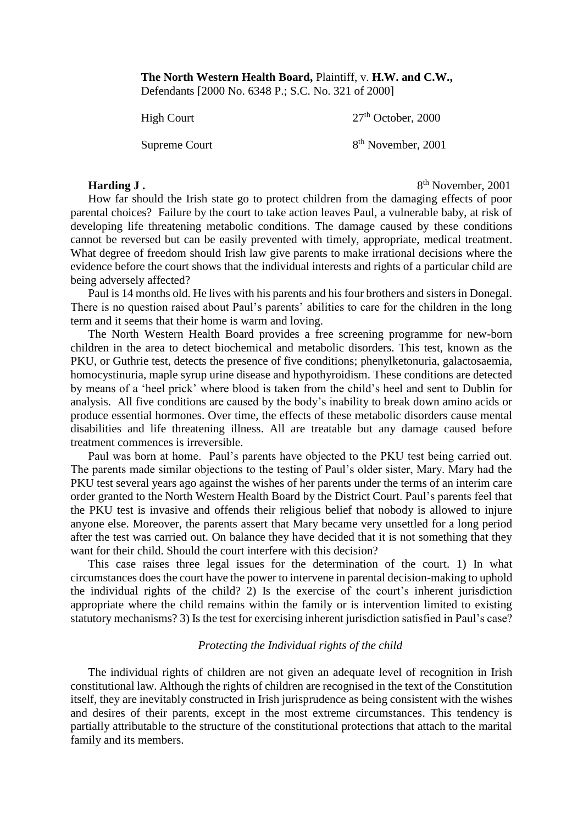# **The North Western Health Board,** Plaintiff, v. **H.W. and C.W.,**

Defendants [2000 No. 6348 P.; S.C. No. 321 of 2000]

| High Court    | $27th$ October, 2000           |
|---------------|--------------------------------|
| Supreme Court | 8 <sup>th</sup> November, 2001 |

### **Harding J.**

8<sup>th</sup> November, 2001

How far should the Irish state go to protect children from the damaging effects of poor parental choices? Failure by the court to take action leaves Paul, a vulnerable baby, at risk of developing life threatening metabolic conditions. The damage caused by these conditions cannot be reversed but can be easily prevented with timely, appropriate, medical treatment. What degree of freedom should Irish law give parents to make irrational decisions where the evidence before the court shows that the individual interests and rights of a particular child are being adversely affected?

Paul is 14 months old. He lives with his parents and his four brothers and sisters in Donegal. There is no question raised about Paul's parents' abilities to care for the children in the long term and it seems that their home is warm and loving.

The North Western Health Board provides a free screening programme for new-born children in the area to detect biochemical and metabolic disorders. This test, known as the PKU, or Guthrie test, detects the presence of five conditions; phenylketonuria, galactosaemia, homocystinuria, maple syrup urine disease and hypothyroidism. These conditions are detected by means of a 'heel prick' where blood is taken from the child's heel and sent to Dublin for analysis. All five conditions are caused by the body's inability to break down amino acids or produce essential hormones. Over time, the effects of these metabolic disorders cause mental disabilities and life threatening illness. All are treatable but any damage caused before treatment commences is irreversible.

Paul was born at home. Paul's parents have objected to the PKU test being carried out. The parents made similar objections to the testing of Paul's older sister, Mary. Mary had the PKU test several years ago against the wishes of her parents under the terms of an interim care order granted to the North Western Health Board by the District Court. Paul's parents feel that the PKU test is invasive and offends their religious belief that nobody is allowed to injure anyone else. Moreover, the parents assert that Mary became very unsettled for a long period after the test was carried out. On balance they have decided that it is not something that they want for their child. Should the court interfere with this decision?

This case raises three legal issues for the determination of the court. 1) In what circumstances does the court have the power to intervene in parental decision-making to uphold the individual rights of the child? 2) Is the exercise of the court's inherent jurisdiction appropriate where the child remains within the family or is intervention limited to existing statutory mechanisms? 3) Is the test for exercising inherent jurisdiction satisfied in Paul's case?

### *Protecting the Individual rights of the child*

The individual rights of children are not given an adequate level of recognition in Irish constitutional law. Although the rights of children are recognised in the text of the Constitution itself, they are inevitably constructed in Irish jurisprudence as being consistent with the wishes and desires of their parents, except in the most extreme circumstances. This tendency is partially attributable to the structure of the constitutional protections that attach to the marital family and its members.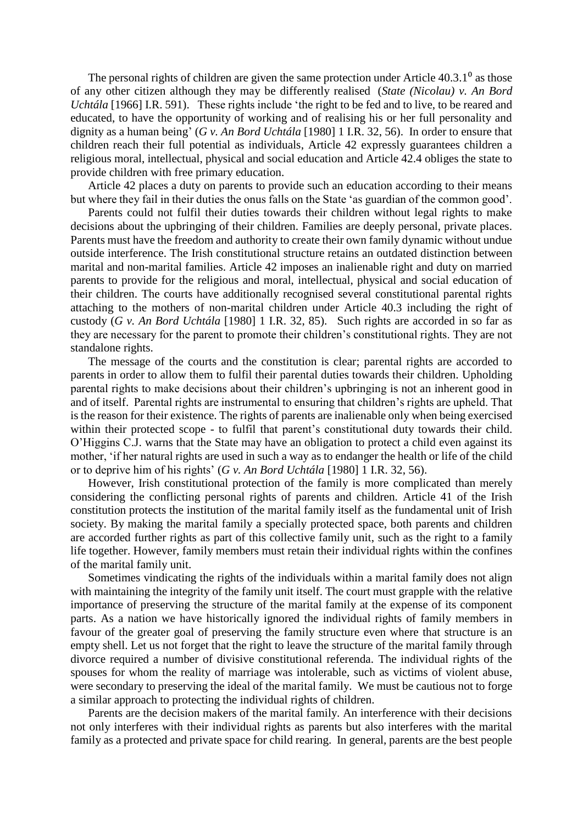The personal rights of children are given the same protection under Article  $40.3.1<sup>0</sup>$  as those of any other citizen although they may be differently realised (*State (Nicolau) v. An Bord Uchtála* [1966] I.R. 591). These rights include 'the right to be fed and to live, to be reared and educated, to have the opportunity of working and of realising his or her full personality and dignity as a human being' (*G v. An Bord Uchtála* [1980] 1 I.R. 32, 56). In order to ensure that children reach their full potential as individuals, Article 42 expressly guarantees children a religious moral, intellectual, physical and social education and Article 42.4 obliges the state to provide children with free primary education.

Article 42 places a duty on parents to provide such an education according to their means but where they fail in their duties the onus falls on the State 'as guardian of the common good'.

Parents could not fulfil their duties towards their children without legal rights to make decisions about the upbringing of their children. Families are deeply personal, private places. Parents must have the freedom and authority to create their own family dynamic without undue outside interference. The Irish constitutional structure retains an outdated distinction between marital and non-marital families. Article 42 imposes an inalienable right and duty on married parents to provide for the religious and moral, intellectual, physical and social education of their children. The courts have additionally recognised several constitutional parental rights attaching to the mothers of non-marital children under Article 40.3 including the right of custody (*G v. An Bord Uchtála* [1980] 1 I.R. 32, 85). Such rights are accorded in so far as they are necessary for the parent to promote their children's constitutional rights. They are not standalone rights.

The message of the courts and the constitution is clear; parental rights are accorded to parents in order to allow them to fulfil their parental duties towards their children. Upholding parental rights to make decisions about their children's upbringing is not an inherent good in and of itself. Parental rights are instrumental to ensuring that children's rights are upheld. That is the reason for their existence. The rights of parents are inalienable only when being exercised within their protected scope - to fulfil that parent's constitutional duty towards their child. O'Higgins C.J. warns that the State may have an obligation to protect a child even against its mother, 'if her natural rights are used in such a way as to endanger the health or life of the child or to deprive him of his rights' (*G v. An Bord Uchtála* [1980] 1 I.R. 32, 56).

However, Irish constitutional protection of the family is more complicated than merely considering the conflicting personal rights of parents and children. Article 41 of the Irish constitution protects the institution of the marital family itself as the fundamental unit of Irish society. By making the marital family a specially protected space, both parents and children are accorded further rights as part of this collective family unit, such as the right to a family life together. However, family members must retain their individual rights within the confines of the marital family unit.

Sometimes vindicating the rights of the individuals within a marital family does not align with maintaining the integrity of the family unit itself. The court must grapple with the relative importance of preserving the structure of the marital family at the expense of its component parts. As a nation we have historically ignored the individual rights of family members in favour of the greater goal of preserving the family structure even where that structure is an empty shell. Let us not forget that the right to leave the structure of the marital family through divorce required a number of divisive constitutional referenda. The individual rights of the spouses for whom the reality of marriage was intolerable, such as victims of violent abuse, were secondary to preserving the ideal of the marital family. We must be cautious not to forge a similar approach to protecting the individual rights of children.

Parents are the decision makers of the marital family. An interference with their decisions not only interferes with their individual rights as parents but also interferes with the marital family as a protected and private space for child rearing. In general, parents are the best people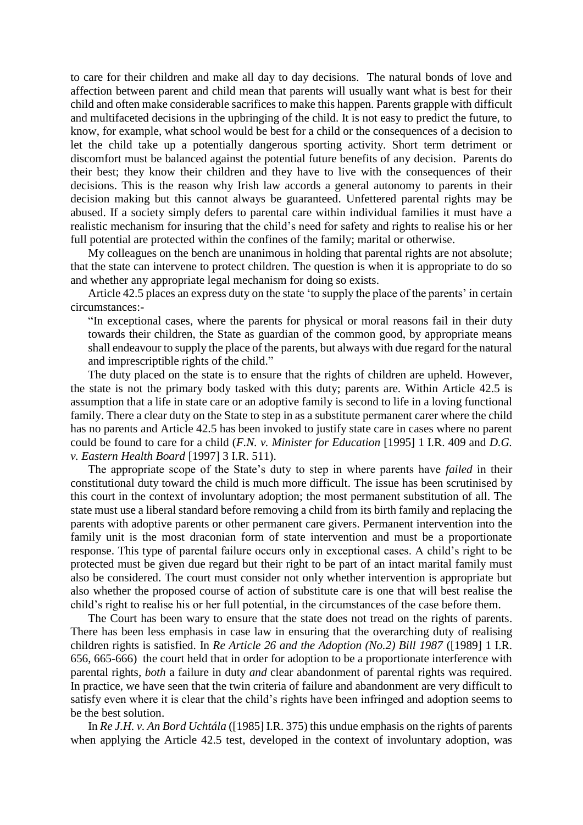to care for their children and make all day to day decisions. The natural bonds of love and affection between parent and child mean that parents will usually want what is best for their child and often make considerable sacrifices to make this happen. Parents grapple with difficult and multifaceted decisions in the upbringing of the child. It is not easy to predict the future, to know, for example, what school would be best for a child or the consequences of a decision to let the child take up a potentially dangerous sporting activity. Short term detriment or discomfort must be balanced against the potential future benefits of any decision. Parents do their best; they know their children and they have to live with the consequences of their decisions. This is the reason why Irish law accords a general autonomy to parents in their decision making but this cannot always be guaranteed. Unfettered parental rights may be abused. If a society simply defers to parental care within individual families it must have a realistic mechanism for insuring that the child's need for safety and rights to realise his or her full potential are protected within the confines of the family; marital or otherwise.

My colleagues on the bench are unanimous in holding that parental rights are not absolute; that the state can intervene to protect children. The question is when it is appropriate to do so and whether any appropriate legal mechanism for doing so exists.

Article 42.5 places an express duty on the state 'to supply the place of the parents' in certain circumstances:-

"In exceptional cases, where the parents for physical or moral reasons fail in their duty towards their children, the State as guardian of the common good, by appropriate means shall endeavour to supply the place of the parents, but always with due regard for the natural and imprescriptible rights of the child."

The duty placed on the state is to ensure that the rights of children are upheld. However, the state is not the primary body tasked with this duty; parents are. Within Article 42.5 is assumption that a life in state care or an adoptive family is second to life in a loving functional family. There a clear duty on the State to step in as a substitute permanent carer where the child has no parents and Article 42.5 has been invoked to justify state care in cases where no parent could be found to care for a child (*F.N. v. Minister for Education* [1995] 1 I.R. 409 and *D.G. v. Eastern Health Board* [1997] 3 I.R. 511).

The appropriate scope of the State's duty to step in where parents have *failed* in their constitutional duty toward the child is much more difficult. The issue has been scrutinised by this court in the context of involuntary adoption; the most permanent substitution of all. The state must use a liberal standard before removing a child from its birth family and replacing the parents with adoptive parents or other permanent care givers. Permanent intervention into the family unit is the most draconian form of state intervention and must be a proportionate response. This type of parental failure occurs only in exceptional cases. A child's right to be protected must be given due regard but their right to be part of an intact marital family must also be considered. The court must consider not only whether intervention is appropriate but also whether the proposed course of action of substitute care is one that will best realise the child's right to realise his or her full potential, in the circumstances of the case before them.

The Court has been wary to ensure that the state does not tread on the rights of parents. There has been less emphasis in case law in ensuring that the overarching duty of realising children rights is satisfied. In *Re Article 26 and the Adoption (No.2) Bill 1987* ([1989] 1 I.R. 656, 665-666) the court held that in order for adoption to be a proportionate interference with parental rights, *both* a failure in duty *and* clear abandonment of parental rights was required. In practice, we have seen that the twin criteria of failure and abandonment are very difficult to satisfy even where it is clear that the child's rights have been infringed and adoption seems to be the best solution.

In *Re J.H. v. An Bord Uchtála* ([1985] I.R. 375) this undue emphasis on the rights of parents when applying the Article 42.5 test, developed in the context of involuntary adoption, was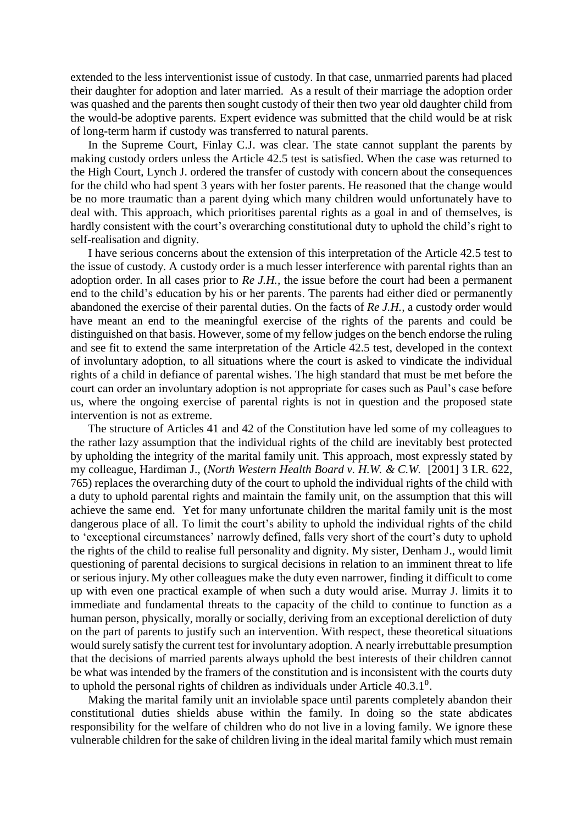extended to the less interventionist issue of custody. In that case, unmarried parents had placed their daughter for adoption and later married. As a result of their marriage the adoption order was quashed and the parents then sought custody of their then two year old daughter child from the would-be adoptive parents. Expert evidence was submitted that the child would be at risk of long-term harm if custody was transferred to natural parents.

In the Supreme Court, Finlay C.J. was clear. The state cannot supplant the parents by making custody orders unless the Article 42.5 test is satisfied. When the case was returned to the High Court, Lynch J. ordered the transfer of custody with concern about the consequences for the child who had spent 3 years with her foster parents. He reasoned that the change would be no more traumatic than a parent dying which many children would unfortunately have to deal with. This approach, which prioritises parental rights as a goal in and of themselves, is hardly consistent with the court's overarching constitutional duty to uphold the child's right to self-realisation and dignity.

I have serious concerns about the extension of this interpretation of the Article 42.5 test to the issue of custody. A custody order is a much lesser interference with parental rights than an adoption order. In all cases prior to *Re J.H.,* the issue before the court had been a permanent end to the child's education by his or her parents. The parents had either died or permanently abandoned the exercise of their parental duties. On the facts of *Re J.H.,* a custody order would have meant an end to the meaningful exercise of the rights of the parents and could be distinguished on that basis. However, some of my fellow judges on the bench endorse the ruling and see fit to extend the same interpretation of the Article 42.5 test, developed in the context of involuntary adoption, to all situations where the court is asked to vindicate the individual rights of a child in defiance of parental wishes. The high standard that must be met before the court can order an involuntary adoption is not appropriate for cases such as Paul's case before us, where the ongoing exercise of parental rights is not in question and the proposed state intervention is not as extreme.

The structure of Articles 41 and 42 of the Constitution have led some of my colleagues to the rather lazy assumption that the individual rights of the child are inevitably best protected by upholding the integrity of the marital family unit. This approach, most expressly stated by my colleague, Hardiman J., (*North Western Health Board v. H.W. & C.W.* [2001] 3 I.R. 622, 765) replaces the overarching duty of the court to uphold the individual rights of the child with a duty to uphold parental rights and maintain the family unit, on the assumption that this will achieve the same end. Yet for many unfortunate children the marital family unit is the most dangerous place of all. To limit the court's ability to uphold the individual rights of the child to 'exceptional circumstances' narrowly defined, falls very short of the court's duty to uphold the rights of the child to realise full personality and dignity. My sister, Denham J., would limit questioning of parental decisions to surgical decisions in relation to an imminent threat to life or serious injury. My other colleagues make the duty even narrower, finding it difficult to come up with even one practical example of when such a duty would arise. Murray J. limits it to immediate and fundamental threats to the capacity of the child to continue to function as a human person, physically, morally or socially, deriving from an exceptional dereliction of duty on the part of parents to justify such an intervention. With respect, these theoretical situations would surely satisfy the current test for involuntary adoption. A nearly irrebuttable presumption that the decisions of married parents always uphold the best interests of their children cannot be what was intended by the framers of the constitution and is inconsistent with the courts duty to uphold the personal rights of children as individuals under Article  $40.3.1^\circ$ .

Making the marital family unit an inviolable space until parents completely abandon their constitutional duties shields abuse within the family. In doing so the state abdicates responsibility for the welfare of children who do not live in a loving family. We ignore these vulnerable children for the sake of children living in the ideal marital family which must remain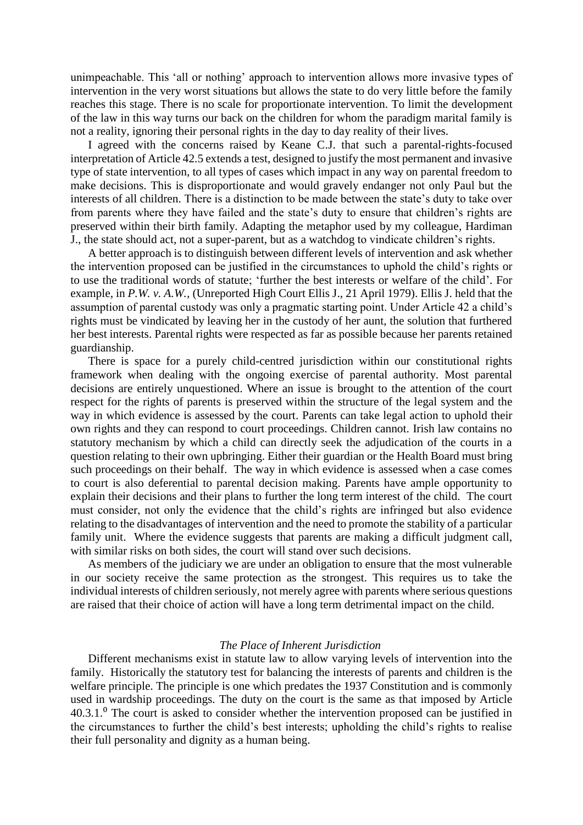unimpeachable. This 'all or nothing' approach to intervention allows more invasive types of intervention in the very worst situations but allows the state to do very little before the family reaches this stage. There is no scale for proportionate intervention. To limit the development of the law in this way turns our back on the children for whom the paradigm marital family is not a reality, ignoring their personal rights in the day to day reality of their lives.

I agreed with the concerns raised by Keane C.J. that such a parental-rights-focused interpretation of Article 42.5 extends a test, designed to justify the most permanent and invasive type of state intervention, to all types of cases which impact in any way on parental freedom to make decisions. This is disproportionate and would gravely endanger not only Paul but the interests of all children. There is a distinction to be made between the state's duty to take over from parents where they have failed and the state's duty to ensure that children's rights are preserved within their birth family. Adapting the metaphor used by my colleague, Hardiman J., the state should act, not a super-parent, but as a watchdog to vindicate children's rights.

A better approach is to distinguish between different levels of intervention and ask whether the intervention proposed can be justified in the circumstances to uphold the child's rights or to use the traditional words of statute; 'further the best interests or welfare of the child'. For example, in *P.W. v. A.W.,* (Unreported High Court Ellis J., 21 April 1979). Ellis J. held that the assumption of parental custody was only a pragmatic starting point. Under Article 42 a child's rights must be vindicated by leaving her in the custody of her aunt, the solution that furthered her best interests. Parental rights were respected as far as possible because her parents retained guardianship.

There is space for a purely child-centred jurisdiction within our constitutional rights framework when dealing with the ongoing exercise of parental authority. Most parental decisions are entirely unquestioned. Where an issue is brought to the attention of the court respect for the rights of parents is preserved within the structure of the legal system and the way in which evidence is assessed by the court. Parents can take legal action to uphold their own rights and they can respond to court proceedings. Children cannot. Irish law contains no statutory mechanism by which a child can directly seek the adjudication of the courts in a question relating to their own upbringing. Either their guardian or the Health Board must bring such proceedings on their behalf. The way in which evidence is assessed when a case comes to court is also deferential to parental decision making. Parents have ample opportunity to explain their decisions and their plans to further the long term interest of the child. The court must consider, not only the evidence that the child's rights are infringed but also evidence relating to the disadvantages of intervention and the need to promote the stability of a particular family unit. Where the evidence suggests that parents are making a difficult judgment call, with similar risks on both sides, the court will stand over such decisions.

As members of the judiciary we are under an obligation to ensure that the most vulnerable in our society receive the same protection as the strongest. This requires us to take the individual interests of children seriously, not merely agree with parents where serious questions are raised that their choice of action will have a long term detrimental impact on the child.

#### *The Place of Inherent Jurisdiction*

Different mechanisms exist in statute law to allow varying levels of intervention into the family. Historically the statutory test for balancing the interests of parents and children is the welfare principle. The principle is one which predates the 1937 Constitution and is commonly used in wardship proceedings. The duty on the court is the same as that imposed by Article  $40.3.1<sup>0</sup>$  The court is asked to consider whether the intervention proposed can be justified in the circumstances to further the child's best interests; upholding the child's rights to realise their full personality and dignity as a human being.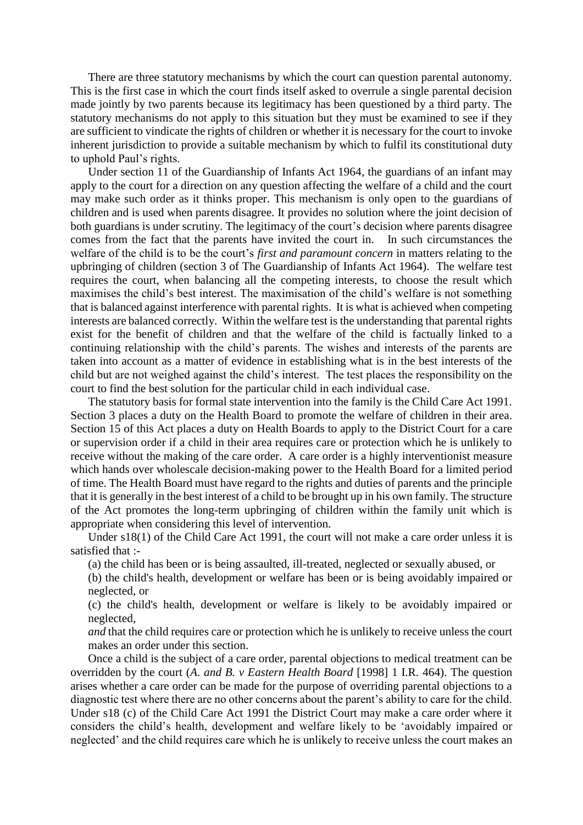There are three statutory mechanisms by which the court can question parental autonomy. This is the first case in which the court finds itself asked to overrule a single parental decision made jointly by two parents because its legitimacy has been questioned by a third party. The statutory mechanisms do not apply to this situation but they must be examined to see if they are sufficient to vindicate the rights of children or whether it is necessary for the court to invoke inherent jurisdiction to provide a suitable mechanism by which to fulfil its constitutional duty to uphold Paul's rights.

Under section 11 of the Guardianship of Infants Act 1964, the guardians of an infant may apply to the court for a direction on any question affecting the welfare of a child and the court may make such order as it thinks proper. This mechanism is only open to the guardians of children and is used when parents disagree. It provides no solution where the joint decision of both guardians is under scrutiny. The legitimacy of the court's decision where parents disagree comes from the fact that the parents have invited the court in. In such circumstances the welfare of the child is to be the court's *first and paramount concern* in matters relating to the upbringing of children (section 3 of The Guardianship of Infants Act 1964). The welfare test requires the court, when balancing all the competing interests, to choose the result which maximises the child's best interest. The maximisation of the child's welfare is not something that is balanced against interference with parental rights. It is what is achieved when competing interests are balanced correctly. Within the welfare test is the understanding that parental rights exist for the benefit of children and that the welfare of the child is factually linked to a continuing relationship with the child's parents. The wishes and interests of the parents are taken into account as a matter of evidence in establishing what is in the best interests of the child but are not weighed against the child's interest. The test places the responsibility on the court to find the best solution for the particular child in each individual case.

The statutory basis for formal state intervention into the family is the Child Care Act 1991. Section 3 places a duty on the Health Board to promote the welfare of children in their area. Section 15 of this Act places a duty on Health Boards to apply to the District Court for a care or supervision order if a child in their area requires care or protection which he is unlikely to receive without the making of the care order. A care order is a highly interventionist measure which hands over wholescale decision-making power to the Health Board for a limited period of time. The Health Board must have regard to the rights and duties of parents and the principle that it is generally in the best interest of a child to be brought up in his own family. The structure of the Act promotes the long-term upbringing of children within the family unit which is appropriate when considering this level of intervention.

Under s18(1) of the Child Care Act 1991, the court will not make a care order unless it is satisfied that :-

(a) the child has been or is being assaulted, ill-treated, neglected or sexually abused, or

(b) the child's health, development or welfare has been or is being avoidably impaired or neglected, or

(c) the child's health, development or welfare is likely to be avoidably impaired or neglected,

*and* that the child requires care or protection which he is unlikely to receive unless the court makes an order under this section.

Once a child is the subject of a care order, parental objections to medical treatment can be overridden by the court (*A. and B. v Eastern Health Board* [1998] 1 I.R. 464). The question arises whether a care order can be made for the purpose of overriding parental objections to a diagnostic test where there are no other concerns about the parent's ability to care for the child. Under s18 (c) of the Child Care Act 1991 the District Court may make a care order where it considers the child's health, development and welfare likely to be 'avoidably impaired or neglected' and the child requires care which he is unlikely to receive unless the court makes an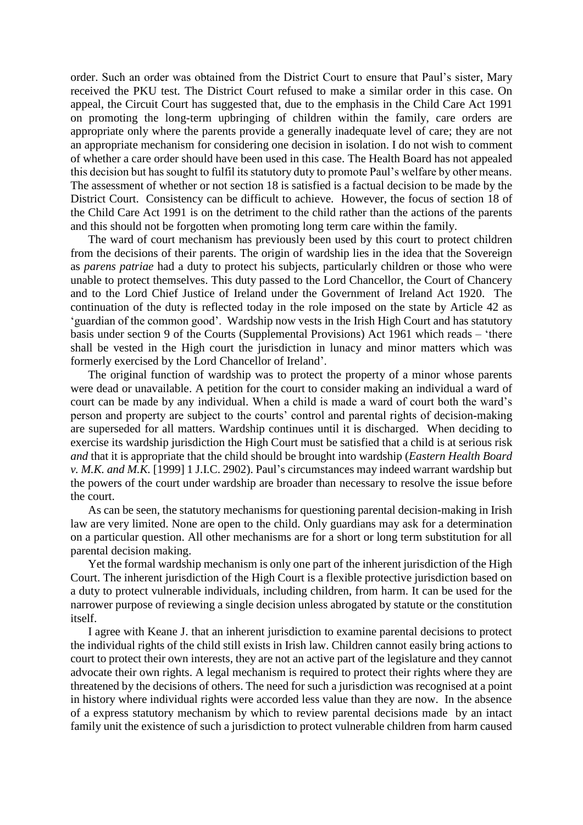order. Such an order was obtained from the District Court to ensure that Paul's sister, Mary received the PKU test. The District Court refused to make a similar order in this case. On appeal, the Circuit Court has suggested that, due to the emphasis in the Child Care Act 1991 on promoting the long-term upbringing of children within the family, care orders are appropriate only where the parents provide a generally inadequate level of care; they are not an appropriate mechanism for considering one decision in isolation. I do not wish to comment of whether a care order should have been used in this case. The Health Board has not appealed this decision but has sought to fulfil its statutory duty to promote Paul's welfare by other means. The assessment of whether or not section 18 is satisfied is a factual decision to be made by the District Court. Consistency can be difficult to achieve. However, the focus of section 18 of the Child Care Act 1991 is on the detriment to the child rather than the actions of the parents and this should not be forgotten when promoting long term care within the family.

The ward of court mechanism has previously been used by this court to protect children from the decisions of their parents. The origin of wardship lies in the idea that the Sovereign as *parens patriae* had a duty to protect his subjects, particularly children or those who were unable to protect themselves. This duty passed to the Lord Chancellor, the Court of Chancery and to the Lord Chief Justice of Ireland under the Government of Ireland Act 1920. The continuation of the duty is reflected today in the role imposed on the state by Article 42 as 'guardian of the common good'. Wardship now vests in the Irish High Court and has statutory basis under section 9 of the Courts (Supplemental Provisions) Act 1961 which reads – 'there shall be vested in the High court the jurisdiction in lunacy and minor matters which was formerly exercised by the Lord Chancellor of Ireland'.

The original function of wardship was to protect the property of a minor whose parents were dead or unavailable. A petition for the court to consider making an individual a ward of court can be made by any individual. When a child is made a ward of court both the ward's person and property are subject to the courts' control and parental rights of decision-making are superseded for all matters. Wardship continues until it is discharged. When deciding to exercise its wardship jurisdiction the High Court must be satisfied that a child is at serious risk *and* that it is appropriate that the child should be brought into wardship (*Eastern Health Board v. M.K. and M.K.* [1999] 1 J.I.C. 2902). Paul's circumstances may indeed warrant wardship but the powers of the court under wardship are broader than necessary to resolve the issue before the court.

As can be seen, the statutory mechanisms for questioning parental decision-making in Irish law are very limited. None are open to the child. Only guardians may ask for a determination on a particular question. All other mechanisms are for a short or long term substitution for all parental decision making.

Yet the formal wardship mechanism is only one part of the inherent jurisdiction of the High Court. The inherent jurisdiction of the High Court is a flexible protective jurisdiction based on a duty to protect vulnerable individuals, including children, from harm. It can be used for the narrower purpose of reviewing a single decision unless abrogated by statute or the constitution itself.

I agree with Keane J. that an inherent jurisdiction to examine parental decisions to protect the individual rights of the child still exists in Irish law. Children cannot easily bring actions to court to protect their own interests, they are not an active part of the legislature and they cannot advocate their own rights. A legal mechanism is required to protect their rights where they are threatened by the decisions of others. The need for such a jurisdiction was recognised at a point in history where individual rights were accorded less value than they are now. In the absence of a express statutory mechanism by which to review parental decisions made by an intact family unit the existence of such a jurisdiction to protect vulnerable children from harm caused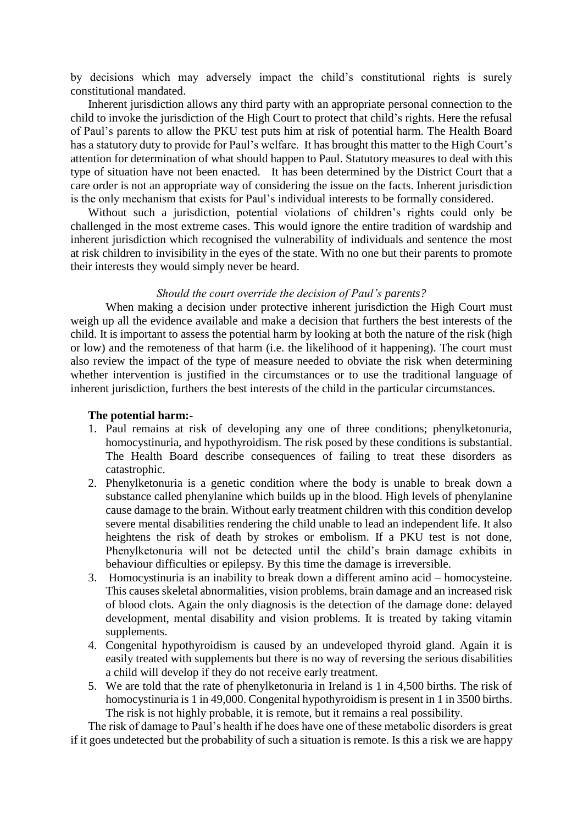by decisions which may adversely impact the child's constitutional rights is surely constitutional mandated.

Inherent jurisdiction allows any third party with an appropriate personal connection to the child to invoke the jurisdiction of the High Court to protect that child's rights. Here the refusal of Paul's parents to allow the PKU test puts him at risk of potential harm. The Health Board has a statutory duty to provide for Paul's welfare. It has brought this matter to the High Court's attention for determination of what should happen to Paul. Statutory measures to deal with this type of situation have not been enacted. It has been determined by the District Court that a care order is not an appropriate way of considering the issue on the facts. Inherent jurisdiction is the only mechanism that exists for Paul's individual interests to be formally considered.

Without such a jurisdiction, potential violations of children's rights could only be challenged in the most extreme cases. This would ignore the entire tradition of wardship and inherent jurisdiction which recognised the vulnerability of individuals and sentence the most at risk children to invisibility in the eyes of the state. With no one but their parents to promote their interests they would simply never be heard.

### *Should the court override the decision of Paul's parents?*

When making a decision under protective inherent jurisdiction the High Court must weigh up all the evidence available and make a decision that furthers the best interests of the child. It is important to assess the potential harm by looking at both the nature of the risk (high or low) and the remoteness of that harm (i.e. the likelihood of it happening). The court must also review the impact of the type of measure needed to obviate the risk when determining whether intervention is justified in the circumstances or to use the traditional language of inherent jurisdiction, furthers the best interests of the child in the particular circumstances.

### **The potential harm:-**

- 1. Paul remains at risk of developing any one of three conditions; phenylketonuria, homocystinuria, and hypothyroidism. The risk posed by these conditions is substantial. The Health Board describe consequences of failing to treat these disorders as catastrophic.
- 2. Phenylketonuria is a genetic condition where the body is unable to break down a substance called phenylanine which builds up in the blood. High levels of phenylanine cause damage to the brain. Without early treatment children with this condition develop severe mental disabilities rendering the child unable to lead an independent life. It also heightens the risk of death by strokes or embolism. If a PKU test is not done, Phenylketonuria will not be detected until the child's brain damage exhibits in behaviour difficulties or epilepsy. By this time the damage is irreversible.
- 3. Homocystinuria is an inability to break down a different amino acid homocysteine. This causes skeletal abnormalities, vision problems, brain damage and an increased risk of blood clots. Again the only diagnosis is the detection of the damage done: delayed development, mental disability and vision problems. It is treated by taking vitamin supplements.
- 4. Congenital hypothyroidism is caused by an undeveloped thyroid gland. Again it is easily treated with supplements but there is no way of reversing the serious disabilities a child will develop if they do not receive early treatment.
- 5. We are told that the rate of phenylketonuria in Ireland is 1 in 4,500 births. The risk of homocystinuria is 1 in 49,000. Congenital hypothyroidism is present in 1 in 3500 births. The risk is not highly probable, it is remote, but it remains a real possibility.

The risk of damage to Paul's health if he does have one of these metabolic disorders is great if it goes undetected but the probability of such a situation is remote. Is this a risk we are happy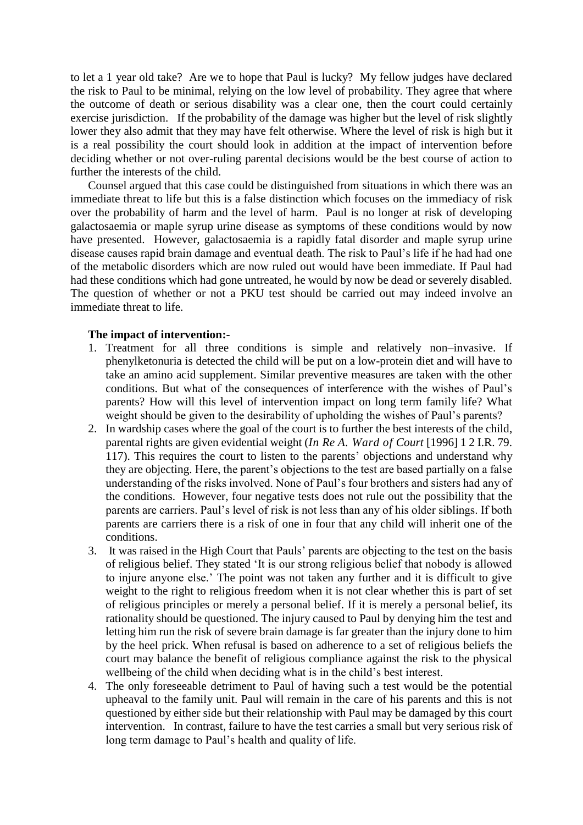to let a 1 year old take? Are we to hope that Paul is lucky? My fellow judges have declared the risk to Paul to be minimal, relying on the low level of probability. They agree that where the outcome of death or serious disability was a clear one, then the court could certainly exercise jurisdiction. If the probability of the damage was higher but the level of risk slightly lower they also admit that they may have felt otherwise. Where the level of risk is high but it is a real possibility the court should look in addition at the impact of intervention before deciding whether or not over-ruling parental decisions would be the best course of action to further the interests of the child.

Counsel argued that this case could be distinguished from situations in which there was an immediate threat to life but this is a false distinction which focuses on the immediacy of risk over the probability of harm and the level of harm. Paul is no longer at risk of developing galactosaemia or maple syrup urine disease as symptoms of these conditions would by now have presented. However, galactosaemia is a rapidly fatal disorder and maple syrup urine disease causes rapid brain damage and eventual death. The risk to Paul's life if he had had one of the metabolic disorders which are now ruled out would have been immediate. If Paul had had these conditions which had gone untreated, he would by now be dead or severely disabled. The question of whether or not a PKU test should be carried out may indeed involve an immediate threat to life.

### **The impact of intervention:-**

- 1. Treatment for all three conditions is simple and relatively non–invasive. If phenylketonuria is detected the child will be put on a low-protein diet and will have to take an amino acid supplement. Similar preventive measures are taken with the other conditions. But what of the consequences of interference with the wishes of Paul's parents? How will this level of intervention impact on long term family life? What weight should be given to the desirability of upholding the wishes of Paul's parents?
- 2. In wardship cases where the goal of the court is to further the best interests of the child, parental rights are given evidential weight (*In Re A. Ward of Court* [1996] 1 2 I.R. 79. 117). This requires the court to listen to the parents' objections and understand why they are objecting. Here, the parent's objections to the test are based partially on a false understanding of the risks involved. None of Paul's four brothers and sisters had any of the conditions. However, four negative tests does not rule out the possibility that the parents are carriers. Paul's level of risk is not less than any of his older siblings. If both parents are carriers there is a risk of one in four that any child will inherit one of the conditions.
- 3. It was raised in the High Court that Pauls' parents are objecting to the test on the basis of religious belief. They stated 'It is our strong religious belief that nobody is allowed to injure anyone else.' The point was not taken any further and it is difficult to give weight to the right to religious freedom when it is not clear whether this is part of set of religious principles or merely a personal belief. If it is merely a personal belief, its rationality should be questioned. The injury caused to Paul by denying him the test and letting him run the risk of severe brain damage is far greater than the injury done to him by the heel prick. When refusal is based on adherence to a set of religious beliefs the court may balance the benefit of religious compliance against the risk to the physical wellbeing of the child when deciding what is in the child's best interest.
- 4. The only foreseeable detriment to Paul of having such a test would be the potential upheaval to the family unit. Paul will remain in the care of his parents and this is not questioned by either side but their relationship with Paul may be damaged by this court intervention. In contrast, failure to have the test carries a small but very serious risk of long term damage to Paul's health and quality of life.